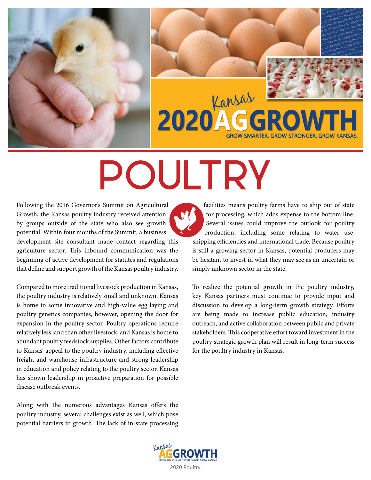



# POULTRY

Following the 2016 Governor's Summit on Agricultural Growth, the Kansas poultry industry received attention by groups outside of the state who also see growth potential. Within four months of the Summit, a business development site consultant made contact regarding this agriculture sector. This inbound communication was the beginning of active development for statutes and regulations that define and support growth of the Kansas poultry industry.

Compared to more traditional livestock production in Kansas, the poultry industry is relatively small and unknown. Kansas is home to some innovative and high-value egg laying and poultry genetics companies, however, opening the door for expansion in the poultry sector. Poultry operations require relatively less land than other livestock, and Kansas is home to abundant poultry feedstock supplies. Other factors contribute to Kansas' appeal to the poultry industry, including effective freight and warehouse infrastructure and strong leadership in education and policy relating to the poultry sector. Kansas has shown leadership in proactive preparation for possible disease outbreak events.

Along with the numerous advantages Kansas offers the poultry industry, several challenges exist as well, which pose potential barriers to growth. The lack of in-state processing

facilities means poultry farms have to ship out of state for processing, which adds expense to the bottom line. Several issues could improve the outlook for poultry production, including some relating to water use, shipping efficiencies and international trade. Because poultry is still a growing sector in Kansas, potential producers may be hesitant to invest in what they may see as an uncertain or simply unknown sector in the state.

To realize the potential growth in the poultry industry, key Kansas partners must continue to provide input and discussion to develop a long-term growth strategy. Efforts are being made to increase public education, industry outreach, and active collaboration between public and private stakeholders. This cooperative effort toward investment in the poultry strategic growth plan will result in long-term success for the poultry industry in Kansas.

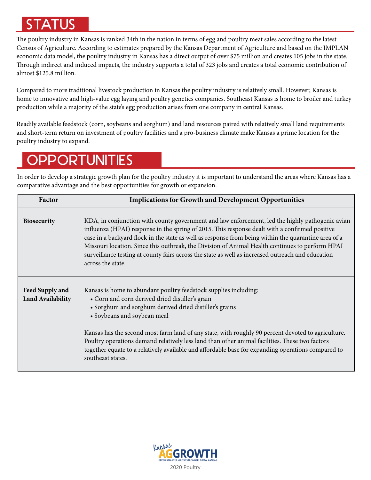# STATUS

The poultry industry in Kansas is ranked 34th in the nation in terms of egg and poultry meat sales according to the latest Census of Agriculture. According to estimates prepared by the Kansas Department of Agriculture and based on the IMPLAN economic data model, the poultry industry in Kansas has a direct output of over \$75 million and creates 105 jobs in the state. Through indirect and induced impacts, the industry supports a total of 323 jobs and creates a total economic contribution of almost \$125.8 million.

Compared to more traditional livestock production in Kansas the poultry industry is relatively small. However, Kansas is home to innovative and high-value egg laying and poultry genetics companies. Southeast Kansas is home to broiler and turkey production while a majority of the state's egg production arises from one company in central Kansas.

Readily available feedstock (corn, soybeans and sorghum) and land resources paired with relatively small land requirements and short-term return on investment of poultry facilities and a pro-business climate make Kansas a prime location for the poultry industry to expand.

## **OPPORTUNITIES**

In order to develop a strategic growth plan for the poultry industry it is important to understand the areas where Kansas has a comparative advantage and the best opportunities for growth or expansion.

| Factor                                      | <b>Implications for Growth and Development Opportunities</b>                                                                                                                                                                                                                                                                                                                                                                                                                                                                                    |
|---------------------------------------------|-------------------------------------------------------------------------------------------------------------------------------------------------------------------------------------------------------------------------------------------------------------------------------------------------------------------------------------------------------------------------------------------------------------------------------------------------------------------------------------------------------------------------------------------------|
| <b>Biosecurity</b>                          | KDA, in conjunction with county government and law enforcement, led the highly pathogenic avian<br>influenza (HPAI) response in the spring of 2015. This response dealt with a confirmed positive<br>case in a backyard flock in the state as well as response from being within the quarantine area of a<br>Missouri location. Since this outbreak, the Division of Animal Health continues to perform HPAI<br>surveillance testing at county fairs across the state as well as increased outreach and education<br>across the state.          |
| Feed Supply and<br><b>Land Availability</b> | Kansas is home to abundant poultry feedstock supplies including:<br>• Corn and corn derived dried distiller's grain<br>• Sorghum and sorghum derived dried distiller's grains<br>• Soybeans and soybean meal<br>Kansas has the second most farm land of any state, with roughly 90 percent devoted to agriculture.<br>Poultry operations demand relatively less land than other animal facilities. These two factors<br>together equate to a relatively available and affordable base for expanding operations compared to<br>southeast states. |

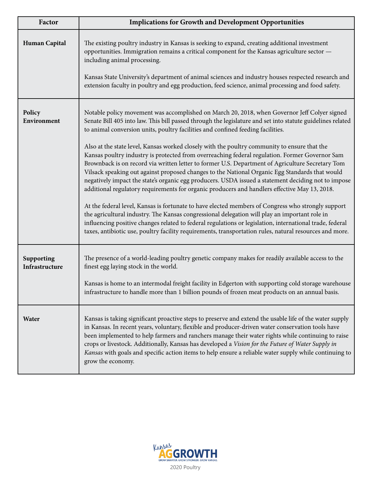| Factor                       | <b>Implications for Growth and Development Opportunities</b>                                                                                                                                                                                                                                                                                                                                                                                                                                                                                                                                                                                                                                                                                                                                                                                                                                                                                                                                                                                                                                                                                                                                                                                                                                                                                |
|------------------------------|---------------------------------------------------------------------------------------------------------------------------------------------------------------------------------------------------------------------------------------------------------------------------------------------------------------------------------------------------------------------------------------------------------------------------------------------------------------------------------------------------------------------------------------------------------------------------------------------------------------------------------------------------------------------------------------------------------------------------------------------------------------------------------------------------------------------------------------------------------------------------------------------------------------------------------------------------------------------------------------------------------------------------------------------------------------------------------------------------------------------------------------------------------------------------------------------------------------------------------------------------------------------------------------------------------------------------------------------|
| <b>Human Capital</b>         | The existing poultry industry in Kansas is seeking to expand, creating additional investment<br>opportunities. Immigration remains a critical component for the Kansas agriculture sector -<br>including animal processing.<br>Kansas State University's department of animal sciences and industry houses respected research and<br>extension faculty in poultry and egg production, feed science, animal processing and food safety.                                                                                                                                                                                                                                                                                                                                                                                                                                                                                                                                                                                                                                                                                                                                                                                                                                                                                                      |
| Policy<br>Environment        | Notable policy movement was accomplished on March 20, 2018, when Governor Jeff Colyer signed<br>Senate Bill 405 into law. This bill passed through the legislature and set into statute guidelines related<br>to animal conversion units, poultry facilities and confined feeding facilities.<br>Also at the state level, Kansas worked closely with the poultry community to ensure that the<br>Kansas poultry industry is protected from overreaching federal regulation. Former Governor Sam<br>Brownback is on record via written letter to former U.S. Department of Agriculture Secretary Tom<br>Vilsack speaking out against proposed changes to the National Organic Egg Standards that would<br>negatively impact the state's organic egg producers. USDA issued a statement deciding not to impose<br>additional regulatory requirements for organic producers and handlers effective May 13, 2018.<br>At the federal level, Kansas is fortunate to have elected members of Congress who strongly support<br>the agricultural industry. The Kansas congressional delegation will play an important role in<br>influencing positive changes related to federal regulations or legislation, international trade, federal<br>taxes, antibiotic use, poultry facility requirements, transportation rules, natural resources and more. |
| Supporting<br>Infrastructure | The presence of a world-leading poultry genetic company makes for readily available access to the<br>finest egg laying stock in the world.<br>Kansas is home to an intermodal freight facility in Edgerton with supporting cold storage warehouse<br>infrastructure to handle more than 1 billion pounds of frozen meat products on an annual basis.                                                                                                                                                                                                                                                                                                                                                                                                                                                                                                                                                                                                                                                                                                                                                                                                                                                                                                                                                                                        |
| Water                        | Kansas is taking significant proactive steps to preserve and extend the usable life of the water supply<br>in Kansas. In recent years, voluntary, flexible and producer-driven water conservation tools have<br>been implemented to help farmers and ranchers manage their water rights while continuing to raise<br>crops or livestock. Additionally, Kansas has developed a Vision for the Future of Water Supply in<br>Kansas with goals and specific action items to help ensure a reliable water supply while continuing to<br>grow the economy.                                                                                                                                                                                                                                                                                                                                                                                                                                                                                                                                                                                                                                                                                                                                                                                       |

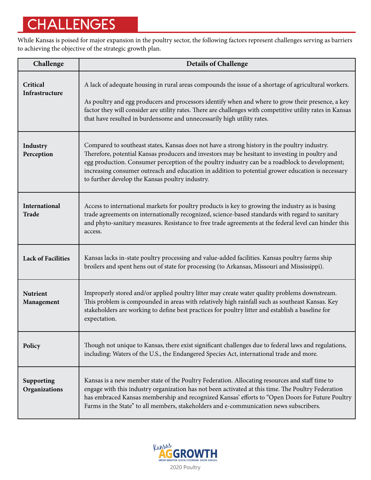# CHALLENGES

While Kansas is poised for major expansion in the poultry sector, the following factors represent challenges serving as barriers to achieving the objective of the strategic growth plan.

| Challenge                     | <b>Details of Challenge</b>                                                                                                                                                                                                                                                                                                                                                                                                                               |
|-------------------------------|-----------------------------------------------------------------------------------------------------------------------------------------------------------------------------------------------------------------------------------------------------------------------------------------------------------------------------------------------------------------------------------------------------------------------------------------------------------|
| Critical<br>Infrastructure    | A lack of adequate housing in rural areas compounds the issue of a shortage of agricultural workers.<br>As poultry and egg producers and processors identify when and where to grow their presence, a key<br>factor they will consider are utility rates. There are challenges with competitive utility rates in Kansas<br>that have resulted in burdensome and unnecessarily high utility rates.                                                         |
| Industry<br>Perception        | Compared to southeast states, Kansas does not have a strong history in the poultry industry.<br>Therefore, potential Kansas producers and investors may be hesitant to investing in poultry and<br>egg production. Consumer perception of the poultry industry can be a roadblock to development;<br>increasing consumer outreach and education in addition to potential grower education is necessary<br>to further develop the Kansas poultry industry. |
| International<br><b>Trade</b> | Access to international markets for poultry products is key to growing the industry as is basing<br>trade agreements on internationally recognized, science-based standards with regard to sanitary<br>and phyto-sanitary measures. Resistance to free trade agreements at the federal level can hinder this<br>access.                                                                                                                                   |
| <b>Lack of Facilities</b>     | Kansas lacks in-state poultry processing and value-added facilities. Kansas poultry farms ship<br>broilers and spent hens out of state for processing (to Arkansas, Missouri and Mississippi).                                                                                                                                                                                                                                                            |
| <b>Nutrient</b><br>Management | Improperly stored and/or applied poultry litter may create water quality problems downstream.<br>This problem is compounded in areas with relatively high rainfall such as southeast Kansas. Key<br>stakeholders are working to define best practices for poultry litter and establish a baseline for<br>expectation.                                                                                                                                     |
| Policy                        | Though not unique to Kansas, there exist significant challenges due to federal laws and regulations,<br>including: Waters of the U.S., the Endangered Species Act, international trade and more.                                                                                                                                                                                                                                                          |
| Supporting<br>Organizations   | Kansas is a new member state of the Poultry Federation. Allocating resources and staff time to<br>engage with this industry organization has not been activated at this time. The Poultry Federation<br>has embraced Kansas membership and recognized Kansas' efforts to "Open Doors for Future Poultry<br>Farms in the State" to all members, stakeholders and e-communication news subscribers.                                                         |

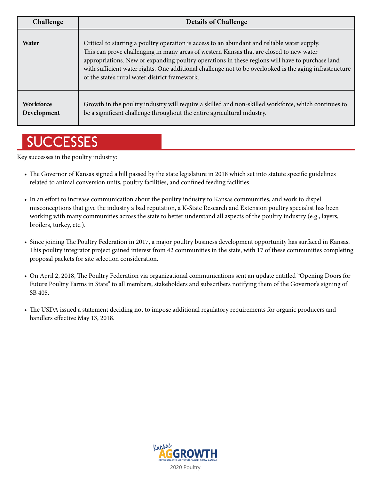| Challenge                       | <b>Details of Challenge</b>                                                                                                                                                                                                                                                                                                                                                                                                                             |
|---------------------------------|---------------------------------------------------------------------------------------------------------------------------------------------------------------------------------------------------------------------------------------------------------------------------------------------------------------------------------------------------------------------------------------------------------------------------------------------------------|
| Water                           | Critical to starting a poultry operation is access to an abundant and reliable water supply.<br>This can prove challenging in many areas of western Kansas that are closed to new water<br>appropriations. New or expanding poultry operations in these regions will have to purchase land<br>with sufficient water rights. One additional challenge not to be overlooked is the aging infrastructure<br>of the state's rural water district framework. |
| <b>Workforce</b><br>Development | Growth in the poultry industry will require a skilled and non-skilled workforce, which continues to<br>be a significant challenge throughout the entire agricultural industry.                                                                                                                                                                                                                                                                          |

# **SUCCESSES**

Key successes in the poultry industry:

- The Governor of Kansas signed a bill passed by the state legislature in 2018 which set into statute specific guidelines related to animal conversion units, poultry facilities, and confined feeding facilities.
- In an effort to increase communication about the poultry industry to Kansas communities, and work to dispel misconceptions that give the industry a bad reputation, a K-State Research and Extension poultry specialist has been working with many communities across the state to better understand all aspects of the poultry industry (e.g., layers, broilers, turkey, etc.).
- Since joining The Poultry Federation in 2017, a major poultry business development opportunity has surfaced in Kansas. This poultry integrator project gained interest from 42 communities in the state, with 17 of these communities completing proposal packets for site selection consideration.
- On April 2, 2018, The Poultry Federation via organizational communications sent an update entitled "Opening Doors for Future Poultry Farms in State" to all members, stakeholders and subscribers notifying them of the Governor's signing of SB 405.
- The USDA issued a statement deciding not to impose additional regulatory requirements for organic producers and handlers effective May 13, 2018.

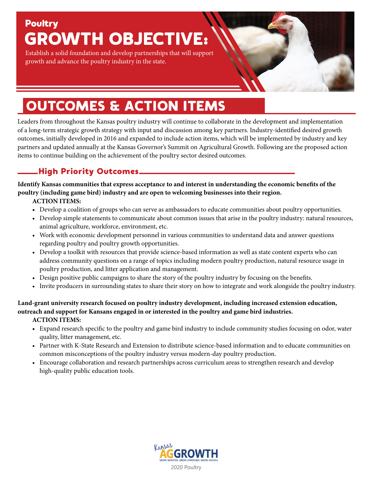# **Poultry** GROWTH OBJECTIVE:

Establish a solid foundation and develop partnerships that will support growth and advance the poultry industry in the state.

# OUTCOMES & ACTION ITEMS

Leaders from throughout the Kansas poultry industry will continue to collaborate in the development and implementation of a long-term strategic growth strategy with input and discussion among key partners. Industry-identified desired growth outcomes, initially developed in 2016 and expanded to include action items, which will be implemented by industry and key partners and updated annually at the Kansas Governor's Summit on Agricultural Growth. Following are the proposed action items to continue building on the achievement of the poultry sector desired outcomes.

## High Priority Outcomes

**Identify Kansas communities that express acceptance to and interest in understanding the economic benefits of the poultry (including game bird) industry and are open to welcoming businesses into their region.**

## **ACTION ITEMS:**

- **•** Develop a coalition of groups who can serve as ambassadors to educate communities about poultry opportunities.
- Develop simple statements to communicate about common issues that arise in the poultry industry: natural resources, animal agriculture, workforce, environment, etc.
- Work with economic development personnel in various communities to understand data and answer questions regarding poultry and poultry growth opportunities.
- Develop a toolkit with resources that provide science-based information as well as state content experts who can address community questions on a range of topics including modern poultry production, natural resource usage in poultry production, and litter application and management.
- Design positive public campaigns to share the story of the poultry industry by focusing on the benefits.
- Invite producers in surrounding states to share their story on how to integrate and work alongside the poultry industry.

## **Land-grant university research focused on poultry industry development, including increased extension education, outreach and support for Kansans engaged in or interested in the poultry and game bird industries.**

## **ACTION ITEMS:**

- **•** Expand research specific to the poultry and game bird industry to include community studies focusing on odor, water quality, litter management, etc.
- Partner with K-State Research and Extension to distribute science-based information and to educate communities on common misconceptions of the poultry industry versus modern-day poultry production.
- Encourage collaboration and research partnerships across curriculum areas to strengthen research and develop high-quality public education tools.